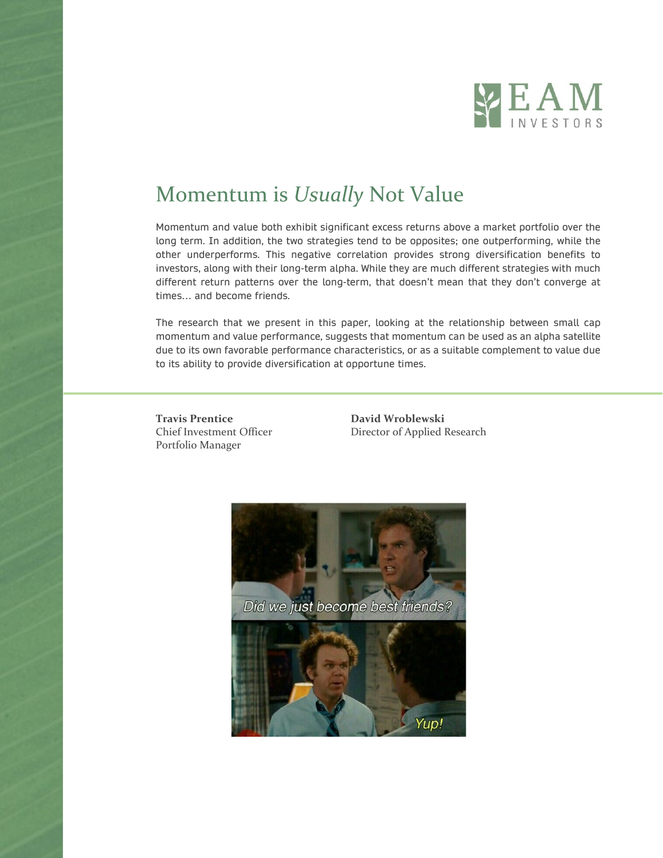

# Momentum is *Usually* Not Value

Momentum and value both exhibit significant excess returns above a market portfolio over the long term. In addition, the two strategies tend to be opposites; one outperforming, while the other underperforms. This negative correlation provides strong diversification benefits to investors, along with their long-term alpha. While they are much different strategies with much different return patterns over the long-term, that doesn't mean that they don't converge at times… and become friends.

The research that we present in this paper, looking at the relationship between small cap momentum and value performance, suggests that momentum can be used as an alpha satellite due to its own favorable performance characteristics, or as a suitable complement to value due to its ability to provide diversification at opportune times.

**Travis Prentice David Wroblewski** Portfolio Manager

Chief Investment Officer Director of Applied Research

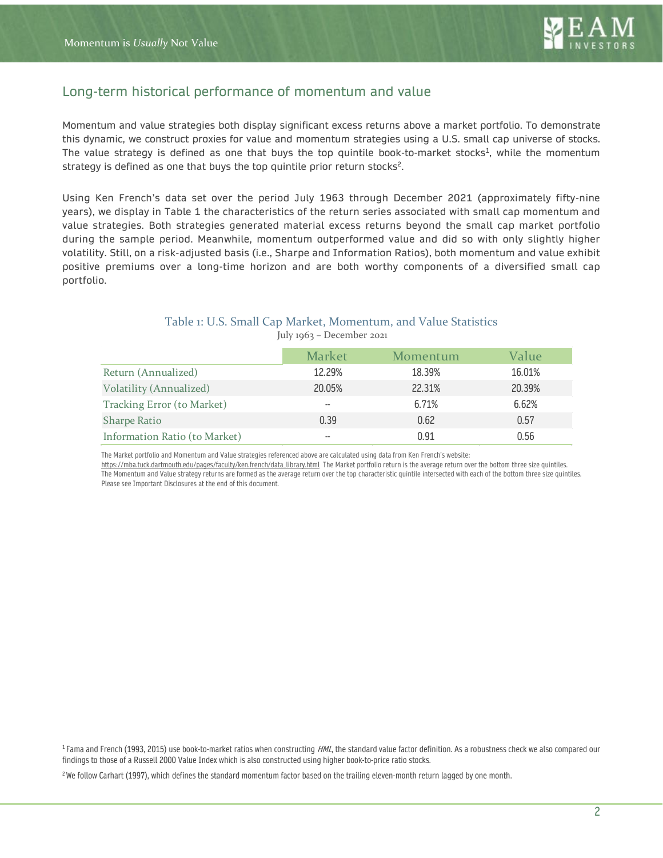

### Long-term historical performance of momentum and value

Momentum and value strategies both display significant excess returns above a market portfolio. To demonstrate this dynamic, we construct proxies for value and momentum strategies using a U.S. small cap universe of stocks. The value strategy is defined as one that buys the top quintile book-to-market stocks<sup>1</sup>, while the momentum strategy is defined as one that buys the top quintile prior return stocks<sup>2</sup>.

Using Ken French's data set over the period July 1963 through December 2021 (approximately fifty-nine years), we display in Table 1 the characteristics of the return series associated with small cap momentum and value strategies. Both strategies generated material excess returns beyond the small cap market portfolio during the sample period. Meanwhile, momentum outperformed value and did so with only slightly higher volatility. Still, on a risk-adjusted basis (i.e., Sharpe and Information Ratios), both momentum and value exhibit positive premiums over a long-time horizon and are both worthy components of a diversified small cap portfolio.

### Table 1: U.S. Small Cap Market, Momentum, and Value Statistics July 1963 – December 2021

|                               | <b>Market</b> | Momentum | Value  |
|-------------------------------|---------------|----------|--------|
| Return (Annualized)           | 12.29%        | 18.39%   | 16.01% |
| Volatility (Annualized)       | 20.05%        | 22.31%   | 20.39% |
| Tracking Error (to Market)    | --            | 6.71%    | 6.62%  |
| <b>Sharpe Ratio</b>           | 0.39          | 0.62     | 0.57   |
| Information Ratio (to Market) | --            | 0.91     | 0.56   |

The Market portfolio and Momentum and Value strategies referenced above are calculated using data from Ken French's website:

[https://mba.tuck.dartmouth.edu/pages/faculty/ken.french/data\\_library.html](https://mba.tuck.dartmouth.edu/pages/faculty/ken.french/data_library.html) The Market portfolio return is the average return over the bottom three size quintiles. The Momentum and Value strategy returns are formed as the average return over the top characteristic quintile intersected with each of the bottom three size quintiles. Please see Important Disclosures at the end of this document.

 $1$  Fama and French (1993, 2015) use book-to-market ratios when constructing  $HML$ , the standard value factor definition. As a robustness check we also compared our findings to those of a Russell 2000 Value Index which is also constructed using higher book-to-price ratio stocks.

<sup>2</sup>We follow Carhart (1997), which defines the standard momentum factor based on the trailing eleven-month return lagged by one month.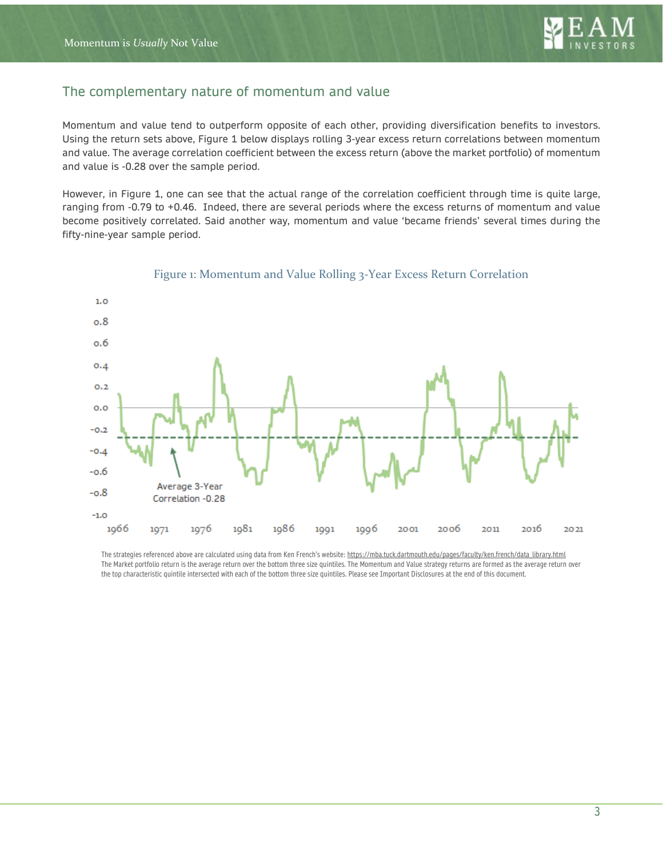

# The complementary nature of momentum and value

Momentum and value tend to outperform opposite of each other, providing diversification benefits to investors. Using the return sets above, Figure 1 below displays rolling 3-year excess return correlations between momentum and value. The average correlation coefficient between the excess return (above the market portfolio) of momentum and value is -0.28 over the sample period.

However, in Figure 1, one can see that the actual range of the correlation coefficient through time is quite large, ranging from -0.79 to +0.46. Indeed, there are several periods where the excess returns of momentum and value become positively correlated. Said another way, momentum and value 'became friends' several times during the fifty-nine-year sample period.



### Figure 1: Momentum and Value Rolling 3-Year Excess Return Correlation

The strategies referenced above are calculated using data from Ken French's website[: https://mba.tuck.dartmouth.edu/pages/faculty/ken.french/data\\_library.html](https://mba.tuck.dartmouth.edu/pages/faculty/ken.french/data_library.html) The Market portfolio return is the average return over the bottom three size quintiles. The Momentum and Value strategy returns are formed as the average return over the top characteristic quintile intersected with each of the bottom three size quintiles. Please see Important Disclosures at the end of this document.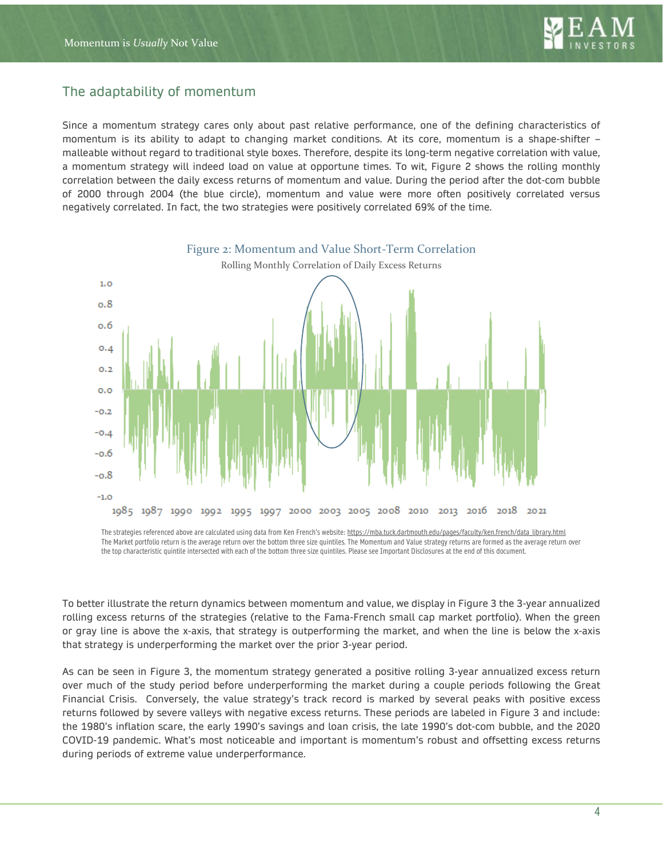

# The adaptability of momentum

Since a momentum strategy cares only about past relative performance, one of the defining characteristics of momentum is its ability to adapt to changing market conditions. At its core, momentum is a shape-shifter – malleable without regard to traditional style boxes. Therefore, despite its long-term negative correlation with value, a momentum strategy will indeed load on value at opportune times. To wit, Figure 2 shows the rolling monthly correlation between the daily excess returns of momentum and value. During the period after the dot-com bubble of 2000 through 2004 (the blue circle), momentum and value were more often positively correlated versus negatively correlated. In fact, the two strategies were positively correlated 69% of the time.



The strategies referenced above are calculated using data from Ken French's website[: https://mba.tuck.dartmouth.edu/pages/faculty/ken.french/data\\_library.html](https://mba.tuck.dartmouth.edu/pages/faculty/ken.french/data_library.html) The Market portfolio return is the average return over the bottom three size quintiles. The Momentum and Value strategy returns are formed as the average return over the top characteristic quintile intersected with each of the bottom three size quintiles. Please see Important Disclosures at the end of this document.

To better illustrate the return dynamics between momentum and value, we display in Figure 3 the 3-year annualized rolling excess returns of the strategies (relative to the Fama-French small cap market portfolio). When the green or gray line is above the x-axis, that strategy is outperforming the market, and when the line is below the x-axis that strategy is underperforming the market over the prior 3-year period.

As can be seen in Figure 3, the momentum strategy generated a positive rolling 3-year annualized excess return over much of the study period before underperforming the market during a couple periods following the Great Financial Crisis. Conversely, the value strategy's track record is marked by several peaks with positive excess returns followed by severe valleys with negative excess returns. These periods are labeled in Figure 3 and include: the 1980's inflation scare, the early 1990's savings and loan crisis, the late 1990's dot-com bubble, and the 2020 COVID-19 pandemic. What's most noticeable and important is momentum's robust and offsetting excess returns during periods of extreme value underperformance.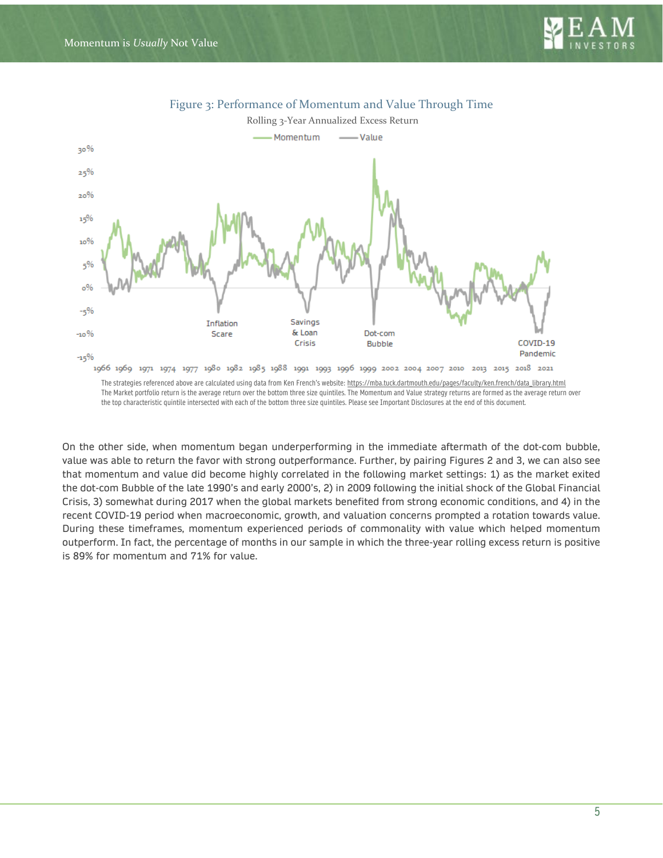



Figure 3: Performance of Momentum and Value Through Time

The Market portfolio return is the average return over the bottom three size quintiles. The Momentum and Value strategy returns are formed as the average return over the top characteristic quintile intersected with each of the bottom three size quintiles. Please see Important Disclosures at the end of this document.

On the other side, when momentum began underperforming in the immediate aftermath of the dot-com bubble, value was able to return the favor with strong outperformance. Further, by pairing Figures 2 and 3, we can also see that momentum and value did become highly correlated in the following market settings: 1) as the market exited the dot-com Bubble of the late 1990's and early 2000's, 2) in 2009 following the initial shock of the Global Financial Crisis, 3) somewhat during 2017 when the global markets benefited from strong economic conditions, and 4) in the recent COVID-19 period when macroeconomic, growth, and valuation concerns prompted a rotation towards value. During these timeframes, momentum experienced periods of commonality with value which helped momentum outperform. In fact, the percentage of months in our sample in which the three-year rolling excess return is positive is 89% for momentum and 71% for value.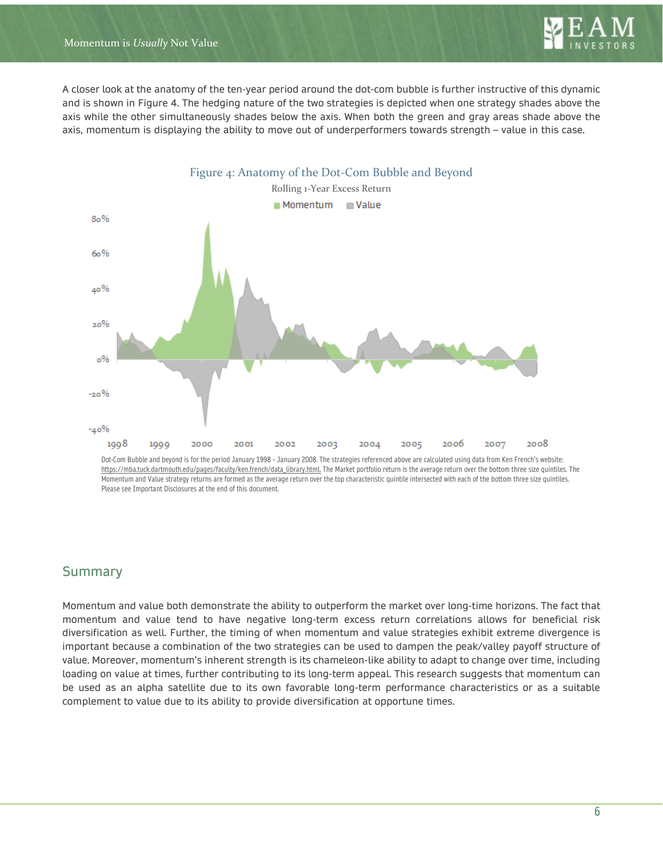

A closer look at the anatomy of the ten-year period around the dot-com bubble is further instructive of this dynamic and is shown in Figure 4. The hedging nature of the two strategies is depicted when one strategy shades above the axis while the other simultaneously shades below the axis. When both the green and gray areas shade above the axis, momentum is displaying the ability to move out of underperformers towards strength – value in this case.



Dot-Com Bubble and beyond is for the period January 1998 – January 2008. The strategies referenced above are calculated using data from Ken French's website: [https://mba.tuck.dartmouth.edu/pages/faculty/ken.french/data\\_library.html.](https://mba.tuck.dartmouth.edu/pages/faculty/ken.french/data_library.html) The Market portfolio return is the average return over the bottom three size quintiles. The Momentum and Value strategy returns are formed as the average return over the top characteristic quintile intersected with each of the bottom three size quintiles. Please see Important Disclosures at the end of this document.

# Summary

Momentum and value both demonstrate the ability to outperform the market over long-time horizons. The fact that momentum and value tend to have negative long-term excess return correlations allows for beneficial risk diversification as well. Further, the timing of when momentum and value strategies exhibit extreme divergence is important because a combination of the two strategies can be used to dampen the peak/valley payoff structure of value. Moreover, momentum's inherent strength is its chameleon-like ability to adapt to change over time, including loading on value at times, further contributing to its long-term appeal. This research suggests that momentum can be used as an alpha satellite due to its own favorable long-term performance characteristics or as a suitable complement to value due to its ability to provide diversification at opportune times.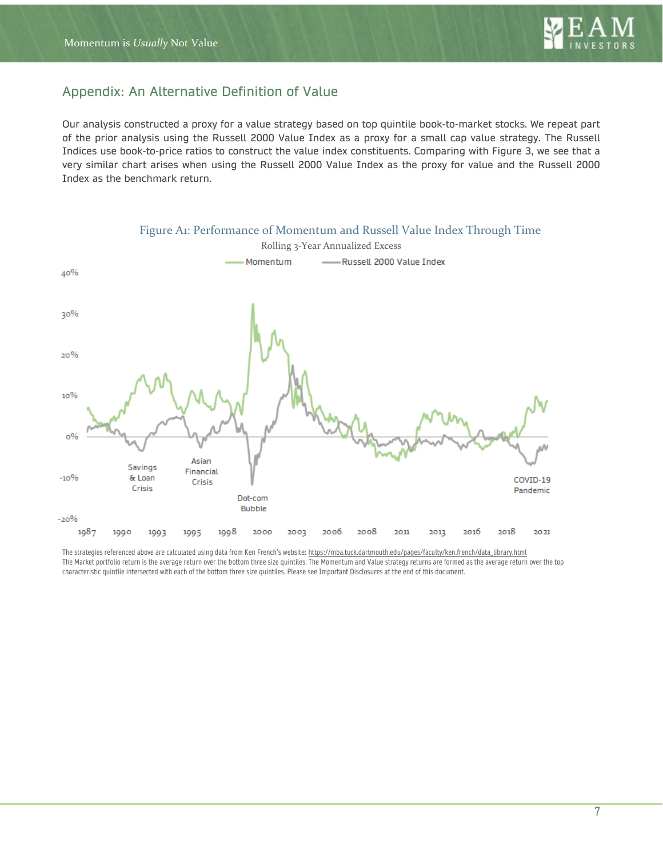

# Appendix: An Alternative Definition of Value

Our analysis constructed a proxy for a value strategy based on top quintile book-to-market stocks. We repeat part of the prior analysis using the Russell 2000 Value Index as a proxy for a small cap value strategy. The Russell Indices use book-to-price ratios to construct the value index constituents. Comparing with Figure 3, we see that a very similar chart arises when using the Russell 2000 Value Index as the proxy for value and the Russell 2000 Index as the benchmark return.



The strategies referenced above are calculated using data from Ken French's website[: https://mba.tuck.dartmouth.edu/pages/faculty/ken.french/data\\_library.html](https://mba.tuck.dartmouth.edu/pages/faculty/ken.french/data_library.html) The Market portfolio return is the average return over the bottom three size quintiles. The Momentum and Value strategy returns are formed as the average return over the top characteristic quintile intersected with each of the bottom three size quintiles. Please see Important Disclosures at the end of this document.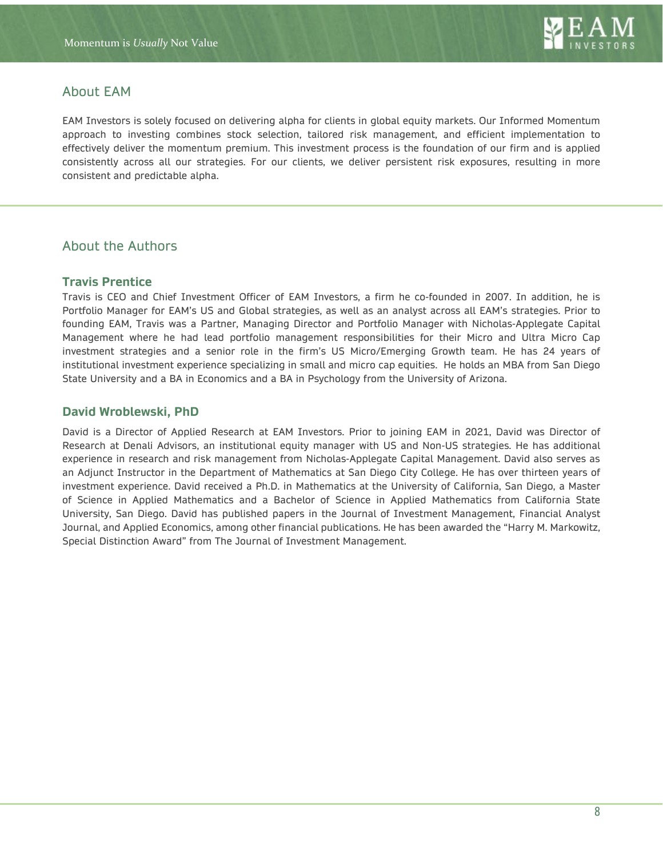

# About EAM

EAM Investors is solely focused on delivering alpha for clients in global equity markets. Our Informed Momentum approach to investing combines stock selection, tailored risk management, and efficient implementation to effectively deliver the momentum premium. This investment process is the foundation of our firm and is applied consistently across all our strategies. For our clients, we deliver persistent risk exposures, resulting in more consistent and predictable alpha.

# About the Authors

### **Travis Prentice**

Travis is CEO and Chief Investment Officer of EAM Investors, a firm he co-founded in 2007. In addition, he is Portfolio Manager for EAM's US and Global strategies, as well as an analyst across all EAM's strategies. Prior to founding EAM, Travis was a Partner, Managing Director and Portfolio Manager with Nicholas-Applegate Capital Management where he had lead portfolio management responsibilities for their Micro and Ultra Micro Cap investment strategies and a senior role in the firm's US Micro/Emerging Growth team. He has 24 years of institutional investment experience specializing in small and micro cap equities. He holds an MBA from San Diego State University and a BA in Economics and a BA in Psychology from the University of Arizona.

### **David Wroblewski, PhD**

David is a Director of Applied Research at EAM Investors. Prior to joining EAM in 2021, David was Director of Research at Denali Advisors, an institutional equity manager with US and Non-US strategies. He has additional experience in research and risk management from Nicholas-Applegate Capital Management. David also serves as an Adjunct Instructor in the Department of Mathematics at San Diego City College. He has over thirteen years of investment experience. David received a Ph.D. in Mathematics at the University of California, San Diego, a Master of Science in Applied Mathematics and a Bachelor of Science in Applied Mathematics from California State University, San Diego. David has published papers in the Journal of Investment Management, Financial Analyst Journal, and Applied Economics, among other financial publications. He has been awarded the "Harry M. Markowitz, Special Distinction Award" from The Journal of Investment Management.